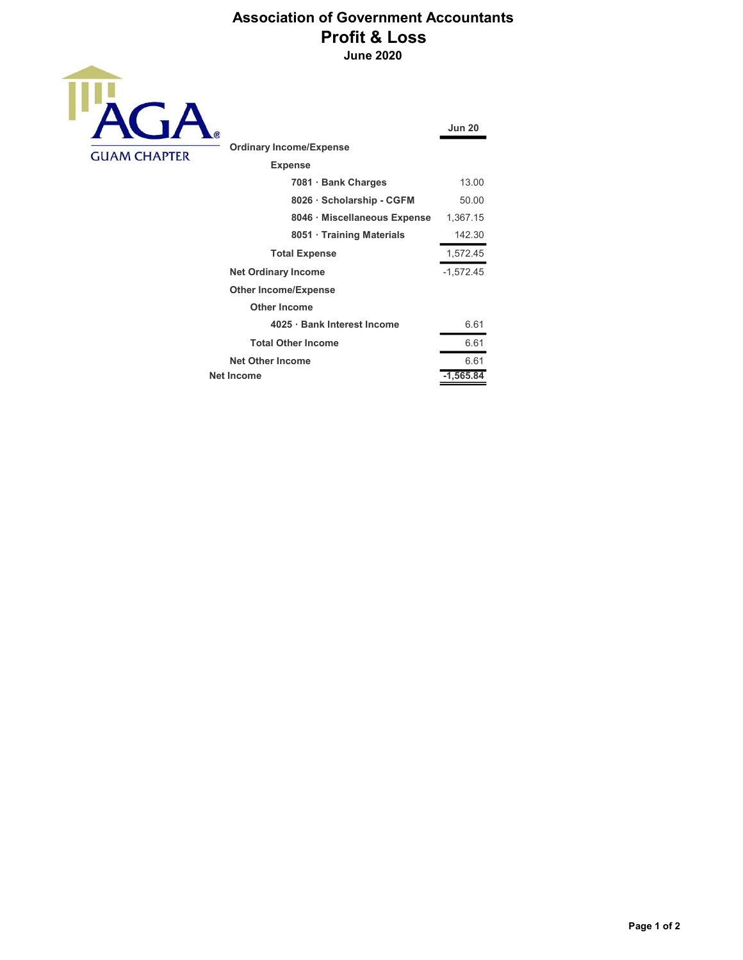## Association of Government Accountants Profit & Loss June 2020



| $\bigcirc$                     | <b>Jun 20</b> |
|--------------------------------|---------------|
| <b>Ordinary Income/Expense</b> |               |
| <b>Expense</b>                 |               |
| 7081 · Bank Charges            | 13.00         |
| 8026 · Scholarship - CGFM      | 50.00         |
| 8046 · Miscellaneous Expense   | 1,367.15      |
| 8051 Training Materials        | 142.30        |
| <b>Total Expense</b>           | 1,572.45      |
| <b>Net Ordinary Income</b>     | $-1,572.45$   |
| <b>Other Income/Expense</b>    |               |
| <b>Other Income</b>            |               |
| 4025 · Bank Interest Income    | 6.61          |
| <b>Total Other Income</b>      | 6.61          |
| <b>Net Other Income</b>        | 6.61          |
| Net Income                     | $-1,565.84$   |